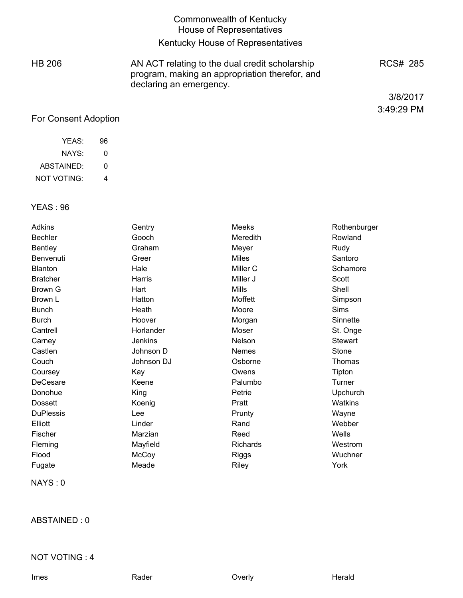|               | <b>Commonwealth of Kentucky</b><br>House of Representatives                                                                 |            |
|---------------|-----------------------------------------------------------------------------------------------------------------------------|------------|
|               | Kentucky House of Representatives                                                                                           |            |
| <b>HB 206</b> | AN ACT relating to the dual credit scholarship<br>program, making an appropriation therefor, and<br>declaring an emergency. | RCS# 285   |
|               |                                                                                                                             | 3/8/2017   |
|               |                                                                                                                             | 3:49:29 PM |

# For Consent Adoption

| YFAS:       | 96 |
|-------------|----|
| NAYS:       | O  |
| ABSTAINED:  | O  |
| NOT VOTING: | 4  |

# YEAS : 96

| Adkins           | Gentry     | Meeks        | Rothenburger   |
|------------------|------------|--------------|----------------|
| <b>Bechler</b>   | Gooch      | Meredith     | Rowland        |
| <b>Bentley</b>   | Graham     | Meyer        | Rudy           |
| Benvenuti        | Greer      | Miles        | Santoro        |
| <b>Blanton</b>   | Hale       | Miller C     | Schamore       |
| <b>Bratcher</b>  | Harris     | Miller J     | Scott          |
| Brown G          | Hart       | <b>Mills</b> | Shell          |
| Brown L          | Hatton     | Moffett      | Simpson        |
| <b>Bunch</b>     | Heath      | Moore        | Sims           |
| <b>Burch</b>     | Hoover     | Morgan       | Sinnette       |
| Cantrell         | Horlander  | Moser        | St. Onge       |
| Carney           | Jenkins    | Nelson       | <b>Stewart</b> |
| Castlen          | Johnson D  | Nemes        | Stone          |
| Couch            | Johnson DJ | Osborne      | Thomas         |
| Coursey          | Kay        | Owens        | Tipton         |
| DeCesare         | Keene      | Palumbo      | Turner         |
| Donohue          | King       | Petrie       | Upchurch       |
| <b>Dossett</b>   | Koenig     | Pratt        | <b>Watkins</b> |
| <b>DuPlessis</b> | Lee        | Prunty       | Wayne          |
| Elliott          | Linder     | Rand         | Webber         |
| Fischer          | Marzian    | Reed         | Wells          |
| Fleming          | Mayfield   | Richards     | Westrom        |
| Flood            | McCoy      | Riggs        | Wuchner        |
| Fugate           | Meade      | Riley        | York           |
|                  |            |              |                |

NAYS : 0

ABSTAINED : 0

# NOT VOTING : 4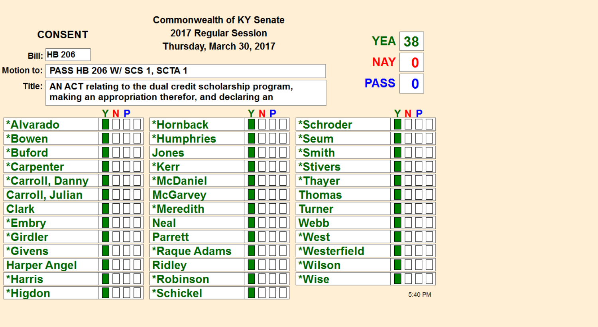| <b>Commonwealth of KY Senate</b> |                     |                                         |                                                                                                                              |     |                        |              |         |  |
|----------------------------------|---------------------|-----------------------------------------|------------------------------------------------------------------------------------------------------------------------------|-----|------------------------|--------------|---------|--|
|                                  | <b>CONSENT</b>      |                                         | 2017 Regular Session<br>Thursday, March 30, 2017                                                                             |     |                        | YEA          | 38      |  |
|                                  | <b>Bill: HB 206</b> |                                         |                                                                                                                              |     |                        | <b>NAY</b>   | 0       |  |
|                                  |                     | Motion to: PASS HB 206 W/ SCS 1, SCTA 1 |                                                                                                                              |     |                        |              |         |  |
| Title:                           |                     |                                         | <b>PASS</b><br>AN ACT relating to the dual credit scholarship program,<br>making an appropriation therefor, and declaring an |     |                        | 0            |         |  |
|                                  |                     | YNP                                     |                                                                                                                              | YNP |                        |              | YNP     |  |
| <b>*Alvarado</b>                 |                     |                                         | *Hornback                                                                                                                    |     | *Schroder              |              |         |  |
| *Bowen                           |                     |                                         | <b>*Humphries</b>                                                                                                            |     | *Seum                  |              |         |  |
| *Buford                          |                     |                                         | <b>Jones</b>                                                                                                                 |     | *Smith                 |              |         |  |
| <i>*</i> Carpenter               |                     |                                         | *Kerr                                                                                                                        |     | <i><b>*Stivers</b></i> |              |         |  |
|                                  | *Carroll, Danny     |                                         | <b>*McDaniel</b>                                                                                                             |     | *Thayer                |              |         |  |
| <b>Carroll, Julian</b>           |                     |                                         | <b>McGarvey</b>                                                                                                              |     | Thomas                 |              |         |  |
| <b>Clark</b>                     |                     |                                         | <b>*Meredith</b>                                                                                                             |     | Turner                 |              |         |  |
| *Embry                           |                     |                                         | <b>Neal</b>                                                                                                                  |     | Webb                   |              |         |  |
| *Girdler                         |                     |                                         | <b>Parrett</b>                                                                                                               |     | *West                  |              |         |  |
| <i><b>*Givens</b></i>            |                     |                                         | *Raque Adams                                                                                                                 |     |                        | *Westerfield |         |  |
| <b>Harper Angel</b>              |                     |                                         | <b>Ridley</b>                                                                                                                |     | *Wilson                |              |         |  |
| <b>*Harris</b>                   |                     |                                         | <b>*Robinson</b>                                                                                                             |     | *Wise                  |              |         |  |
| *Higdon                          |                     |                                         | <b>*Schickel</b>                                                                                                             |     |                        |              | 5:40 PM |  |